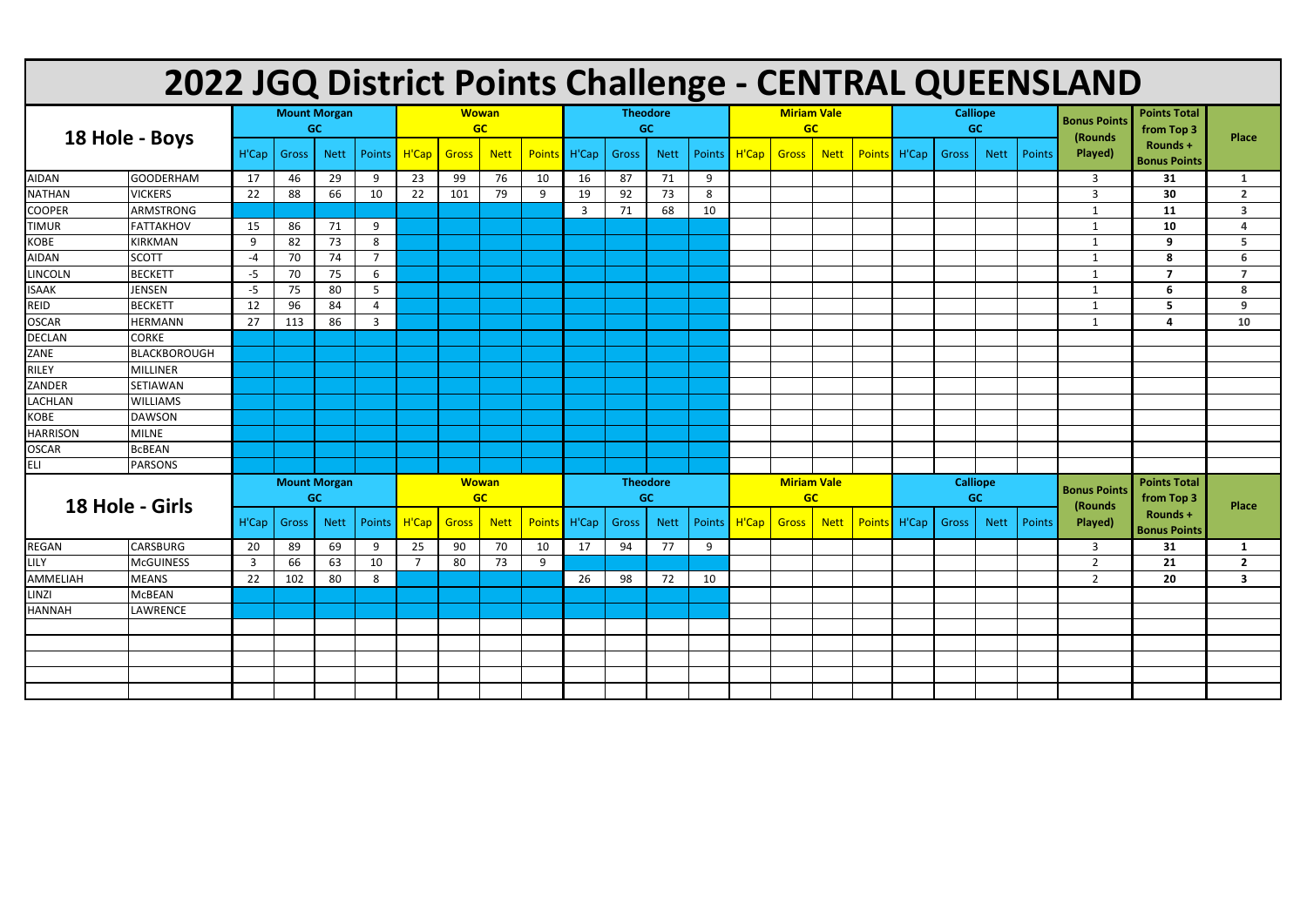| 2022 JGQ District Points Challenge - CENTRAL QUEENSLAND |                  |                                  |                     |             |                |                           |       |             |                  |                              |       |             |    |                                 |              |             |  |                              |       |             |        |                                |                                   |                         |
|---------------------------------------------------------|------------------|----------------------------------|---------------------|-------------|----------------|---------------------------|-------|-------------|------------------|------------------------------|-------|-------------|----|---------------------------------|--------------|-------------|--|------------------------------|-------|-------------|--------|--------------------------------|-----------------------------------|-------------------------|
| 18 Hole - Boys                                          |                  | <b>Mount Morgan</b><br><b>GC</b> |                     |             |                | <b>Wowan</b><br>GC        |       |             |                  | <b>Theodore</b><br><b>GC</b> |       |             |    | <b>Miriam Vale</b><br><b>GC</b> |              |             |  | <b>Calliope</b><br><b>GC</b> |       |             |        | <b>Bonus Points</b><br>(Rounds | <b>Points Total</b><br>from Top 3 | <b>Place</b>            |
|                                                         |                  |                                  | <b>Gross</b>        | <b>Nett</b> | Points         | H'Cap                     | Gross | <b>Nett</b> | Points H'Cap     |                              | Gross | <b>Nett</b> |    | Points   H'Cap                  | <b>Gross</b> | <b>Nett</b> |  | Points H'Cap                 | Gross | <b>Nett</b> | Points | Played)                        | Rounds +<br><b>Bonus Points</b>   |                         |
| <b>AIDAN</b>                                            | <b>GOODERHAM</b> | 17                               | 46                  | 29          | 9              | 23                        | 99    | 76          | 10               | 16                           | 87    | 71          | 9  |                                 |              |             |  |                              |       |             |        | $\overline{3}$                 | 31                                | $\mathbf{1}$            |
| <b>NATHAN</b>                                           | <b>VICKERS</b>   | 22                               | 88                  | 66          | 10             | 22                        | 101   | 79          | 9                | 19                           | 92    | 73          | 8  |                                 |              |             |  |                              |       |             |        | -3                             | 30                                | $\overline{2}$          |
| <b>COOPER</b>                                           | <b>ARMSTRONG</b> |                                  |                     |             |                |                           |       |             |                  | 3                            | 71    | 68          | 10 |                                 |              |             |  |                              |       |             |        | -1                             | 11                                | $\overline{\mathbf{3}}$ |
| <b>TIMUR</b>                                            | FATTAKHOV        | 15                               | 86                  | 71          | 9              |                           |       |             |                  |                              |       |             |    |                                 |              |             |  |                              |       |             |        | -1                             | 10                                | $\overline{a}$          |
| <b>KOBE</b>                                             | <b>KIRKMAN</b>   | 9                                | 82                  | 73          | 8              |                           |       |             |                  |                              |       |             |    |                                 |              |             |  |                              |       |             |        |                                | 9                                 | 5                       |
| <b>AIDAN</b>                                            | <b>SCOTT</b>     | -4                               | 70                  | 74          | $\overline{7}$ |                           |       |             |                  |                              |       |             |    |                                 |              |             |  |                              |       |             |        |                                | 8                                 | 6                       |
| <b>LINCOLN</b>                                          | <b>BECKETT</b>   | -5                               | 70                  | 75          | 6              |                           |       |             |                  |                              |       |             |    |                                 |              |             |  |                              |       |             |        | -1                             | $\overline{7}$                    | $\overline{ }$          |
| <b>ISAAK</b><br>REID                                    | <b>JENSEN</b>    | -5                               | 75                  | 80          | 5              |                           |       |             |                  |                              |       |             |    |                                 |              |             |  |                              |       |             |        | -1                             | 6                                 | 8                       |
|                                                         | <b>BECKETT</b>   | 12                               | 96                  | 84          | 4              |                           |       |             |                  |                              |       |             |    |                                 |              |             |  |                              |       |             |        | -1                             | 5                                 | 9                       |
| <b>OSCAR</b>                                            | <b>HERMANN</b>   | 27                               | 113                 | 86          | $\overline{3}$ |                           |       |             |                  |                              |       |             |    |                                 |              |             |  |                              |       |             |        | -1                             | $\overline{\mathbf{4}}$           | 10                      |
| <b>DECLAN</b>                                           | <b>CORKE</b>     |                                  |                     |             |                |                           |       |             |                  |                              |       |             |    |                                 |              |             |  |                              |       |             |        |                                |                                   |                         |
| ZANE                                                    | BLACKBOROUGH     |                                  |                     |             |                |                           |       |             |                  |                              |       |             |    |                                 |              |             |  |                              |       |             |        |                                |                                   |                         |
| <b>RILEY</b>                                            | MILLINER         |                                  |                     |             |                |                           |       |             |                  |                              |       |             |    |                                 |              |             |  |                              |       |             |        |                                |                                   |                         |
| ZANDER                                                  | SETIAWAN         |                                  |                     |             |                |                           |       |             |                  |                              |       |             |    |                                 |              |             |  |                              |       |             |        |                                |                                   |                         |
| <b>LACHLAN</b>                                          | <b>WILLIAMS</b>  |                                  |                     |             |                |                           |       |             |                  |                              |       |             |    |                                 |              |             |  |                              |       |             |        |                                |                                   |                         |
| <b>KOBE</b>                                             | <b>DAWSON</b>    |                                  |                     |             |                |                           |       |             |                  |                              |       |             |    |                                 |              |             |  |                              |       |             |        |                                |                                   |                         |
| <b>HARRISON</b>                                         | <b>MILNE</b>     |                                  |                     |             |                |                           |       |             |                  |                              |       |             |    |                                 |              |             |  |                              |       |             |        |                                |                                   |                         |
| <b>OSCAR</b>                                            | <b>BCBEAN</b>    |                                  |                     |             |                |                           |       |             |                  |                              |       |             |    |                                 |              |             |  |                              |       |             |        |                                |                                   |                         |
| <b>ELI</b>                                              | <b>PARSONS</b>   |                                  |                     |             |                |                           |       |             |                  |                              |       |             |    |                                 |              |             |  |                              |       |             |        |                                |                                   |                         |
| 18 Hole - Girls                                         |                  |                                  | <b>Mount Morgan</b> | <b>GC</b>   |                | <b>Wowan</b><br><b>GC</b> |       |             |                  | <b>Theodore</b><br><b>GC</b> |       |             |    | <b>Miriam Vale</b><br><b>GC</b> |              |             |  | <b>Calliope</b><br><b>GC</b> |       |             |        | <b>Bonus Points</b>            | <b>Points Total</b><br>from Top 3 |                         |
|                                                         |                  | H'Cap                            | Gross               | <b>Nett</b> | Points         | H'Cap                     | Gross | <b>Nett</b> | Points H'Cap     |                              | Gross | <b>Nett</b> |    | Points   H'Cap                  | <b>Gross</b> | <b>Nett</b> |  | Points H'Cap                 | Gross | <b>Nett</b> | Points | (Rounds)<br>Played)            | Rounds +<br><b>Bonus Points</b>   | <b>Place</b>            |
| <b>REGAN</b>                                            | <b>CARSBURG</b>  | 20                               | 89                  | 69          |                | $9 \t 25$                 | 90    |             | 70 10 17 94 77 9 |                              |       |             |    |                                 |              |             |  |                              |       |             |        | $\overline{\mathbf{3}}$        | 31                                | $\mathbf{1}$            |
| LILY                                                    | <b>McGUINESS</b> | 3                                | 66                  | 63          | 10             | $\overline{7}$            | 80    | 73          | 9                |                              |       |             |    |                                 |              |             |  |                              |       |             |        | $\overline{2}$                 | 21                                | $\overline{2}$          |
| AMMELIAH                                                | <b>MEANS</b>     | 22                               | 102                 | 80          | 8              |                           |       |             |                  | 26                           | 98    | 72          | 10 |                                 |              |             |  |                              |       |             |        | $\overline{2}$                 | 20                                | $\overline{\mathbf{3}}$ |
| LINZI                                                   | <b>McBEAN</b>    |                                  |                     |             |                |                           |       |             |                  |                              |       |             |    |                                 |              |             |  |                              |       |             |        |                                |                                   |                         |
| <b>HANNAH</b>                                           | <b>LAWRENCE</b>  |                                  |                     |             |                |                           |       |             |                  |                              |       |             |    |                                 |              |             |  |                              |       |             |        |                                |                                   |                         |
|                                                         |                  |                                  |                     |             |                |                           |       |             |                  |                              |       |             |    |                                 |              |             |  |                              |       |             |        |                                |                                   |                         |
|                                                         |                  |                                  |                     |             |                |                           |       |             |                  |                              |       |             |    |                                 |              |             |  |                              |       |             |        |                                |                                   |                         |
|                                                         |                  |                                  |                     |             |                |                           |       |             |                  |                              |       |             |    |                                 |              |             |  |                              |       |             |        |                                |                                   |                         |
|                                                         |                  |                                  |                     |             |                |                           |       |             |                  |                              |       |             |    |                                 |              |             |  |                              |       |             |        |                                |                                   |                         |
|                                                         |                  |                                  |                     |             |                |                           |       |             |                  |                              |       |             |    |                                 |              |             |  |                              |       |             |        |                                |                                   |                         |